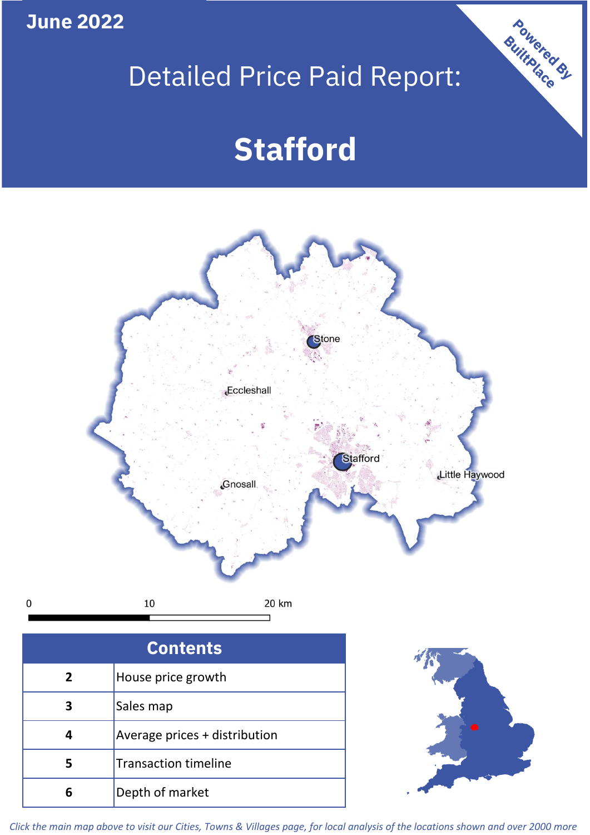**June 2022**

 $\mathbf 0$ 

## Detailed Price Paid Report:

# **Stafford**



| Sales map                     |
|-------------------------------|
| Average prices + distribution |
| <b>Transaction timeline</b>   |
| Depth of market               |



Powered By

*Click the main map above to visit our Cities, Towns & Villages page, for local analysis of the locations shown and over 2000 more*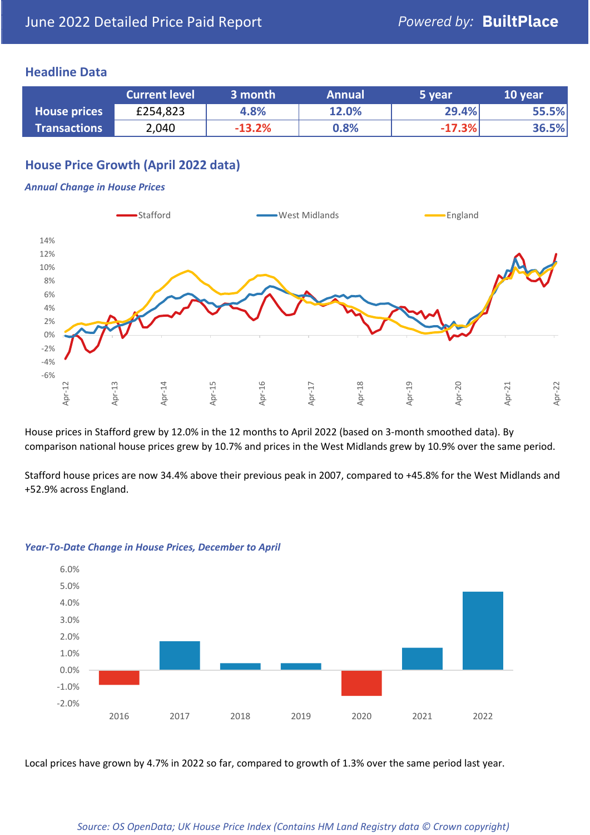## **Headline Data**

|                     | <b>Current level</b> | 3 month  | <b>Annual</b> | 5 year   | 10 year |
|---------------------|----------------------|----------|---------------|----------|---------|
| <b>House prices</b> | £254,823             | 4.8%     | 12.0%         | 29.4%    | 55.5%   |
| <b>Transactions</b> | 2,040                | $-13.2%$ | 0.8%          | $-17.3%$ | 36.5%   |

## **House Price Growth (April 2022 data)**

#### *Annual Change in House Prices*



House prices in Stafford grew by 12.0% in the 12 months to April 2022 (based on 3-month smoothed data). By comparison national house prices grew by 10.7% and prices in the West Midlands grew by 10.9% over the same period.

Stafford house prices are now 34.4% above their previous peak in 2007, compared to +45.8% for the West Midlands and +52.9% across England.



#### *Year-To-Date Change in House Prices, December to April*

Local prices have grown by 4.7% in 2022 so far, compared to growth of 1.3% over the same period last year.

#### *Source: OS OpenData; UK House Price Index (Contains HM Land Registry data © Crown copyright)*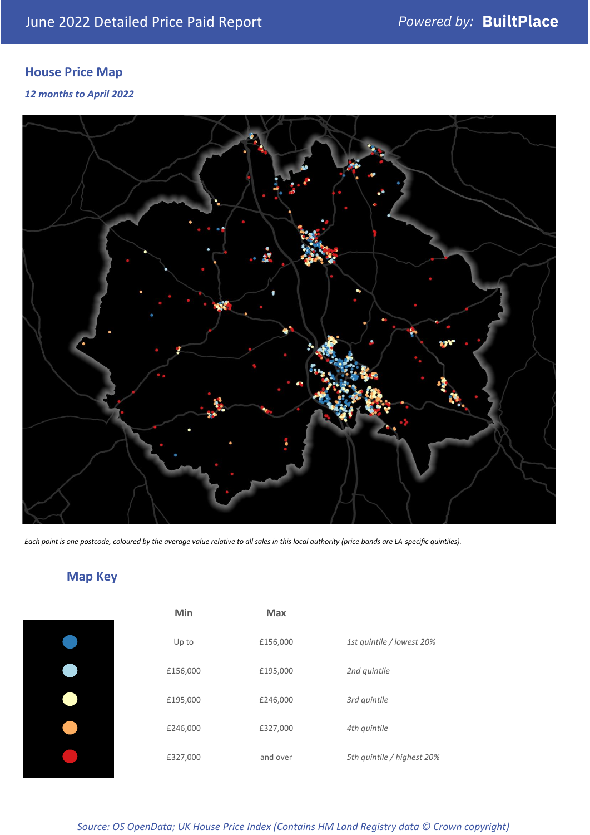## **House Price Map**

*12 months to April 2022*



*Each point is one postcode, coloured by the average value relative to all sales in this local authority (price bands are LA-specific quintiles).*

## **Map Key**

| <b>Min</b> | <b>Max</b> |                            |
|------------|------------|----------------------------|
| Up to      | £156,000   | 1st quintile / lowest 20%  |
| £156,000   | £195,000   | 2nd quintile               |
| £195,000   | £246,000   | 3rd quintile               |
| £246,000   | £327,000   | 4th quintile               |
| £327,000   | and over   | 5th quintile / highest 20% |

*Source: OS OpenData; UK House Price Index (Contains HM Land Registry data © Crown copyright)*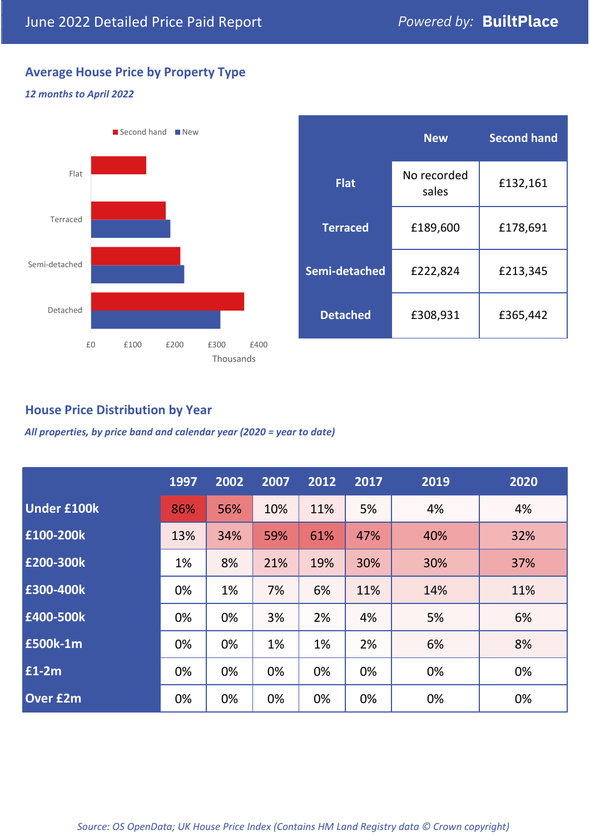## **Average House Price by Property Type**

#### *12 months to April 2022*



|                 | <b>New</b>           | <b>Second hand</b> |  |  |
|-----------------|----------------------|--------------------|--|--|
| <b>Flat</b>     | No recorded<br>sales | £132,161           |  |  |
| <b>Terraced</b> | £189,600             | £178,691           |  |  |
| Semi-detached   | £222,824             | £213,345           |  |  |
| <b>Detached</b> | £308,931             | £365,442           |  |  |

## **House Price Distribution by Year**

*All properties, by price band and calendar year (2020 = year to date)*

|                    | 1997 | 2002 | 2007 | 2012 | 2017 | 2019 | 2020 |
|--------------------|------|------|------|------|------|------|------|
| <b>Under £100k</b> | 86%  | 56%  | 10%  | 11%  | 5%   | 4%   | 4%   |
| £100-200k          | 13%  | 34%  | 59%  | 61%  | 47%  | 40%  | 32%  |
| E200-300k          | 1%   | 8%   | 21%  | 19%  | 30%  | 30%  | 37%  |
| £300-400k          | 0%   | 1%   | 7%   | 6%   | 11%  | 14%  | 11%  |
| £400-500k          | 0%   | 0%   | 3%   | 2%   | 4%   | 5%   | 6%   |
| <b>£500k-1m</b>    | 0%   | 0%   | 1%   | 1%   | 2%   | 6%   | 8%   |
| £1-2m              | 0%   | 0%   | 0%   | 0%   | 0%   | 0%   | 0%   |
| <b>Over £2m</b>    | 0%   | 0%   | 0%   | 0%   | 0%   | 0%   | 0%   |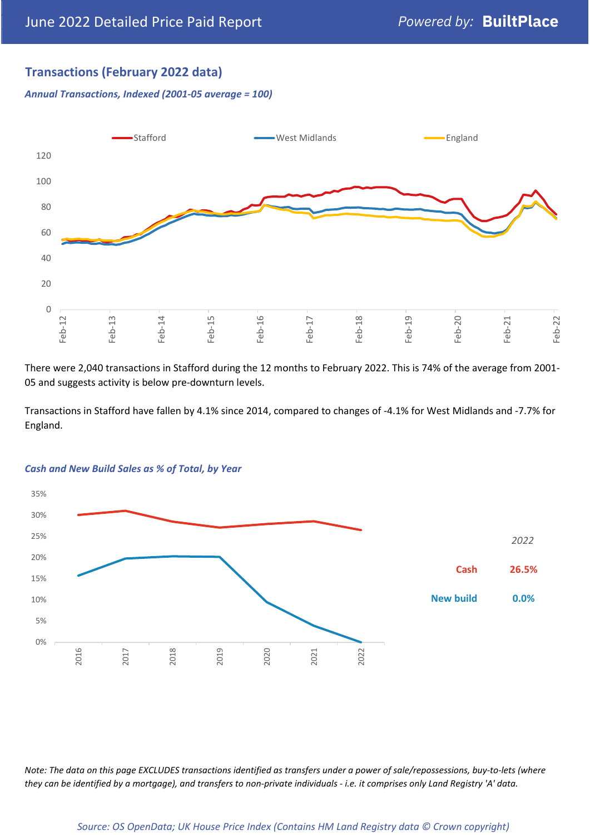## **Transactions (February 2022 data)**

*Annual Transactions, Indexed (2001-05 average = 100)*



There were 2,040 transactions in Stafford during the 12 months to February 2022. This is 74% of the average from 2001- 05 and suggests activity is below pre-downturn levels.

Transactions in Stafford have fallen by 4.1% since 2014, compared to changes of -4.1% for West Midlands and -7.7% for England.



#### *Cash and New Build Sales as % of Total, by Year*

*Note: The data on this page EXCLUDES transactions identified as transfers under a power of sale/repossessions, buy-to-lets (where they can be identified by a mortgage), and transfers to non-private individuals - i.e. it comprises only Land Registry 'A' data.*